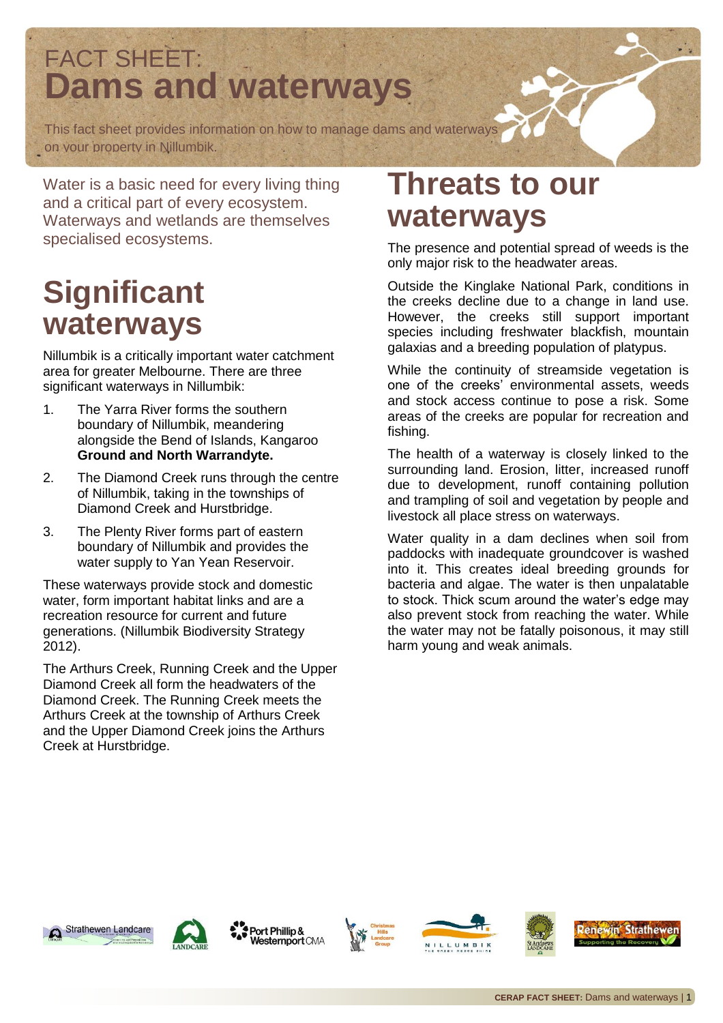#### FACT SHEET: **Dams and waterways**

This fact sheet provides information on how to manage dams and waterways on your property in Nillumbik.

Water is a basic need for every living thing and a critical part of every ecosystem. Waterways and wetlands are themselves specialised ecosystems.

## **Significant waterways**

Nillumbik is a critically important water catchment area for greater Melbourne. There are three significant waterways in Nillumbik:

- 1. The Yarra River forms the southern boundary of Nillumbik, meandering alongside the Bend of Islands, Kangaroo **Ground and North Warrandyte.**
- 2. The Diamond Creek runs through the centre of Nillumbik, taking in the townships of Diamond Creek and Hurstbridge.
- 3. The Plenty River forms part of eastern boundary of Nillumbik and provides the water supply to Yan Yean Reservoir.

These waterways provide stock and domestic water, form important habitat links and are a recreation resource for current and future generations. (Nillumbik Biodiversity Strategy 2012).

The Arthurs Creek, Running Creek and the Upper Diamond Creek all form the headwaters of the Diamond Creek. The Running Creek meets the Arthurs Creek at the township of Arthurs Creek and the Upper Diamond Creek joins the Arthurs Creek at Hurstbridge.

### **Threats to our waterways**

The presence and potential spread of weeds is the only major risk to the headwater areas.

Outside the Kinglake National Park, conditions in the creeks decline due to a change in land use. However, the creeks still support important species including freshwater blackfish, mountain galaxias and a breeding population of platypus.

While the continuity of streamside vegetation is one of the creeks' environmental assets, weeds and stock access continue to pose a risk. Some areas of the creeks are popular for recreation and fishing.

The health of a waterway is closely linked to the surrounding land. Erosion, litter, increased runoff due to development, runoff containing pollution and trampling of soil and vegetation by people and livestock all place stress on waterways.

Water quality in a dam declines when soil from paddocks with inadequate groundcover is washed into it. This creates ideal breeding grounds for bacteria and algae. The water is then unpalatable to stock. Thick scum around the water's edge may also prevent stock from reaching the water. While the water may not be fatally poisonous, it may still harm young and weak animals.





Port Phillip & Westernport CMA







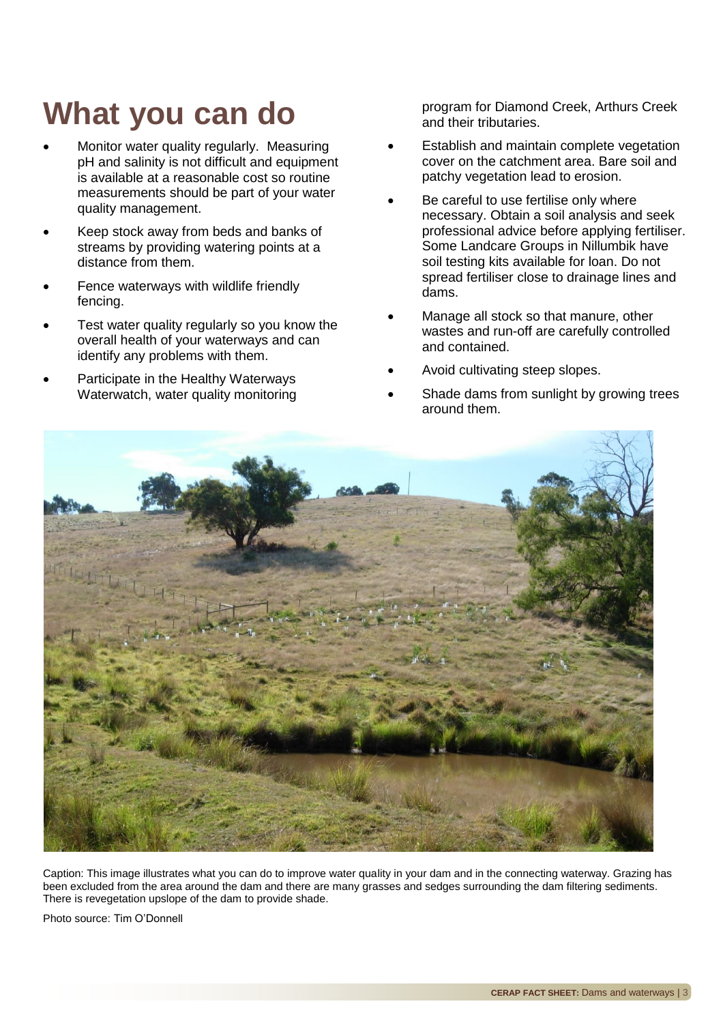## **What you can do**

- Monitor water quality regularly. Measuring pH and salinity is not difficult and equipment is available at a reasonable cost so routine measurements should be part of your water quality management.
- Keep stock away from beds and banks of streams by providing watering points at a distance from them.
- Fence waterways with wildlife friendly fencing.
- Test water quality regularly so you know the overall health of your waterways and can identify any problems with them.
- Participate in the Healthy Waterways Waterwatch, water quality monitoring

program for Diamond Creek, Arthurs Creek and their tributaries.

- Establish and maintain complete vegetation cover on the catchment area. Bare soil and patchy vegetation lead to erosion.
- Be careful to use fertilise only where necessary. Obtain a soil analysis and seek professional advice before applying fertiliser. Some Landcare Groups in Nillumbik have soil testing kits available for loan. Do not spread fertiliser close to drainage lines and dams.
- Manage all stock so that manure, other wastes and run-off are carefully controlled and contained.
- Avoid cultivating steep slopes.
- Shade dams from sunlight by growing trees around them.



Caption: This image illustrates what you can do to improve water quality in your dam and in the connecting waterway. Grazing has been excluded from the area around the dam and there are many grasses and sedges surrounding the dam filtering sediments. There is revegetation upslope of the dam to provide shade.

Photo source: Tim O'Donnell